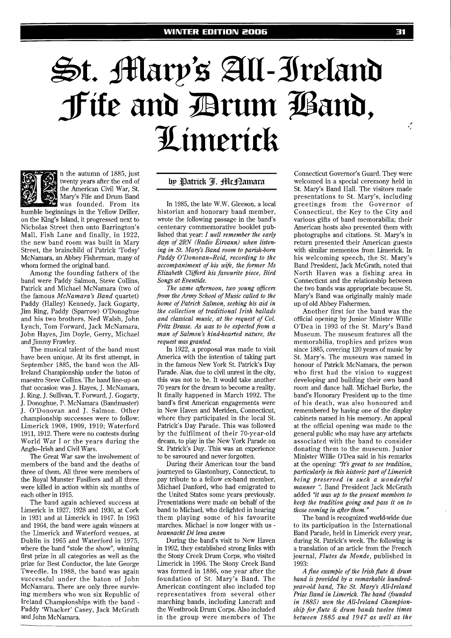## St. Mary's All-Ireland<br>Jite and Brum Isand, Limerick



n the autumn of 1885, just twenty years after the end of the American Civil War, St. Mary's Fie and Drum Band was founded. From its

humble beginnings in the Yellow Driller, on the King's Island, it progressed next to Nicholas Street then onto Barrington's Mall, Fish Lane and finally, in 1922, the new band room was built in Mary Street, the brainchild of Patrick 'Todsy' McNamara, an Abbey Fisherman, many of whom formed the original band.

Among the founding fathers of the band were Paddy Salmon, Steve Collins, Patrick and Michael McNamara (two of the famous McNamara's Band quartet) Paddy (Halley) Kennedy, Jack Gogarty, Jim Ring, Paddy (Sparrow) O'Donoghue and his two brothers, Ned Walsh, John Lynch, Tom Forward, Jack McNamara, John Hayes, Jim Doyle, Gerry, Michael and Jimmy Frawley.

The musical talent of the band must have been unique. At its first attempt, in September 1885, the band won the All-Ireland Championship under the baton of maestro Steve Collins. The band line-up on that occasion was J. Hayes, J. McNamara, J. Ring, J. Sullivan, T. Forward, J. Gogarty, J. Donoghue, P. McNamara (Bandmaster) J. O'Donovan and J. Salmon. Other championship successes were to follow: Limerick 1908, 1909, 1919; Waterford 1911,1912. There were no contests during World War I or the years during the Anglo-Irish and Civil Wars.

The Great War saw the involvement of members of the band and the deaths of three of them. All three were members of the Royal Munster Fusiliers and all three were killed in action within six months of each other in 1915.

The band again achieved success at Limerick in 1927, 1928 and 1930, at Cork in 1931 and at Limerick in 1947. In 1963 and 1964, the band were again winners at the Limerick and Waterford venues, at Dublin in 1965 and Waterford in 1975, where the band "stole the show", winning first prize in all categories as well as the prize for Best Conductor, the late George Tweedle. In 1988, the band was again successful under the baton of John McNamara. There are only three surviving members who won six Republic of Ireland Championships with the band - Paddy 'Whacker' Casey, Jack McGrath and John McNamara.

## by Patrick J. McDamara

In 1985, the late W.W. Gleeson, a local historian and honorary band member, wrote the following passage in the band's centenary commemorative booklet published that year: *I we!l remember the early days of 2RN (Radio Eireann) when listening in St. May's Band room to parish-born Paddy O'Donovan-Reid, recording to the accompaniment of his wife, the former MS Elizabeth Cliford his favourite piece, Bird Songs at Eventide.* 

*The same afternoon, two young oficers from the Army School of Music called to the home of Patrick Salmon, seeking his aid in the collection of traditional Irish ballads and classical music, at the request of Col. Fritz Brasse. As was to be expected from a man of Salmon's kind-hearted nature, the request was granted.* 

In 1922, a proposal was made to visit America with the intention of taking part in the famous New York St. Patrick's Day Parade. Alas, due to civil unrest in the city, this was not to be. It would take another 70 years for the dream to become a reality. It finally happened in March 1992. The band's first American engagements were in New Haven and Meriden, Connecticut, where they participated in the local St. Patrick's Day Parade. This was followed by the fulfilment of their 70-year-old dream, to play in the New York Parade on St. Patrick's Day. This was an experience to be savoured and never forgotten.

During their American tour the band journeyed to Glastonbury, Connecticut, to pay tribute to a fellow ex-band member, Michael Danford, who had emigrated to the United States some years previously. Presentations were made on behalf of the band to Michael, who delighted in hearing them playing some of his favourite marches. Michael is now longer with us *beannacht De' lena anam* 

During the band's visit to New Haven in 1992, they established strong links with the Stony Creek Drum Corps, who visited Limerick in 1996. The Stony Creek Band was formed in 1886, one year after the foundation of St. Mary's Band. The American contingent also included top representatives from several other marching bands, including Lancraft and the Westbrook Drum Corps. Also included in the group were members of The

Connecticut Governor's Guard. They were welcomed in a special ceremony held in St. Mary's Band Hall. The visitors made presentations to St. Mary's, including greetings from the Governor of Connecticut, the Key to the City and various gifts of band memorabilia: their American hosts also presented them with photographs and citations. St. Mary's in return presented their American guests with similar mementos from Limerick. In his welcoming speech, the St. Mary's Band President, Jack McGrath, noted that North Haven was a fishing area in Connecticut and the relationship between the two bands was appropriate because St. Mary's Band was originally mainly made up of old Abbey Fishermen.

Another first for the band was the official opening by Junior Minister Willie O'Dea in 1993 of the St. Mary's Band Museum. The museum features all the memorabilia, trophies and prizes won since 1885, covering 120 years of music by St. Mary's. The museum was named in honour of Patrick McNamara, the person who first had the vision to suggest developing and building their own band room and dance hall. Michael Burke, the band's Honorary President up to the time of his death, was also honoured and remembered by having one of the display cabinets named in his memory. An appeal at the official opening was made to the general public who may have any artefacts associated with the band to consider donating them to the museum. Junior Minister Willie O'Dea said in his remarks at the opening: *"It's great to see tradition, particularly in this historic part of Limerick being preserved in such a wonderful manner* **l'.** Band President Jack McGrath added *"it was up to the present members to keep the tradition going and pass it on to those coming in after them."* 

The band is recognized world-wide due to its participation in the International Band Parade, held in Limerick every year, during St. Patrick's week. The following is a translation of an article from the French journal, *Flutes du Monde,* published in 1993:

*A fine example of the Irish flute* & *drum band is provided by a remarkable hundredyear-old band, The St. Mary's All-Ireland Prize Band in Limem'ck. The band (founded in 1885) won the All-Ireland Championship for flute* & *drum bands twelve times between 1885 and 1947 as well as the* 

÷,